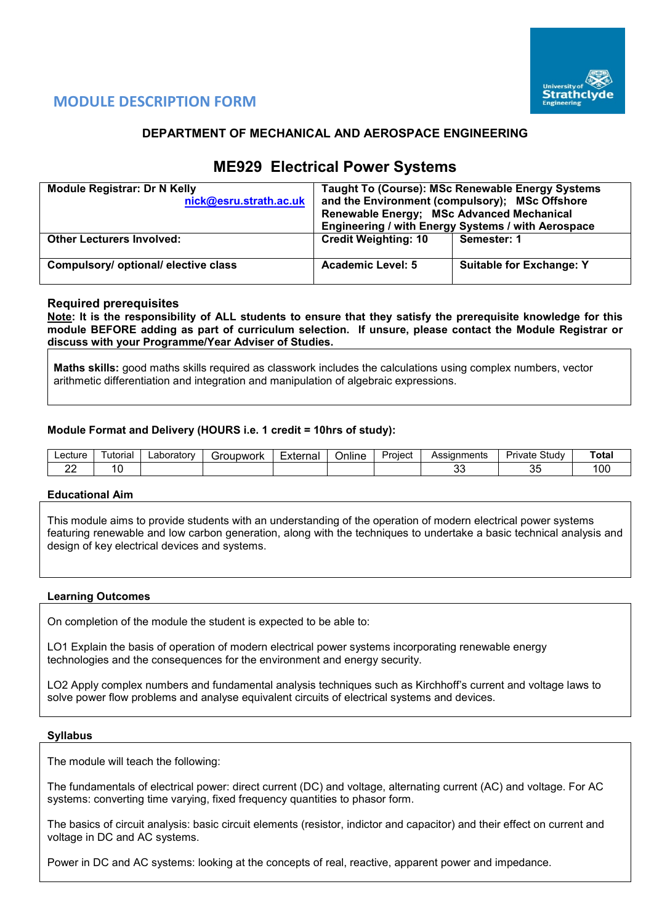

# **MODULE DESCRIPTION FORM**

# **DEPARTMENT OF MECHANICAL AND AEROSPACE ENGINEERING**

# **ME929 Electrical Power Systems**

| <b>Module Registrar: Dr N Kelly</b><br>nick@esru.strath.ac.uk | Renewable Energy; MSc Advanced Mechanical | Taught To (Course): MSc Renewable Energy Systems<br>and the Environment (compulsory); MSc Offshore<br>Engineering / with Energy Systems / with Aerospace |
|---------------------------------------------------------------|-------------------------------------------|----------------------------------------------------------------------------------------------------------------------------------------------------------|
| <b>Other Lecturers Involved:</b>                              | <b>Credit Weighting: 10</b>               | Semester: 1                                                                                                                                              |
| Compulsory/ optional/ elective class                          | <b>Academic Level: 5</b>                  | <b>Suitable for Exchange: Y</b>                                                                                                                          |

# **Required prerequisites**

**Note: It is the responsibility of ALL students to ensure that they satisfy the prerequisite knowledge for this module BEFORE adding as part of curriculum selection. If unsure, please contact the Module Registrar or discuss with your Programme/Year Adviser of Studies.**

**Maths skills:** good maths skills required as classwork includes the calculations using complex numbers, vector arithmetic differentiation and integration and manipulation of algebraic expressions.

# **Module Format and Delivery (HOURS i.e. 1 credit = 10hrs of study):**

| Lecture | utorial | ∟aborator∨ | iroupwork | _<br>External<br>ا الصاليا | <br>Online | Proiect | Assianments | Study<br>Private | Tota.       |
|---------|---------|------------|-----------|----------------------------|------------|---------|-------------|------------------|-------------|
| c.      |         |            |           |                            |            |         | n,<br>vu    | v                | ı nr<br>∣∪∪ |

## **Educational Aim**

This module aims to provide students with an understanding of the operation of modern electrical power systems featuring renewable and low carbon generation, along with the techniques to undertake a basic technical analysis and design of key electrical devices and systems.

## **Learning Outcomes**

On completion of the module the student is expected to be able to:

LO1 Explain the basis of operation of modern electrical power systems incorporating renewable energy technologies and the consequences for the environment and energy security.

LO2 Apply complex numbers and fundamental analysis techniques such as Kirchhoff's current and voltage laws to solve power flow problems and analyse equivalent circuits of electrical systems and devices.

## **Syllabus**

The module will teach the following:

The fundamentals of electrical power: direct current (DC) and voltage, alternating current (AC) and voltage. For AC systems: converting time varying, fixed frequency quantities to phasor form.

The basics of circuit analysis: basic circuit elements (resistor, indictor and capacitor) and their effect on current and voltage in DC and AC systems.

Power in DC and AC systems: looking at the concepts of real, reactive, apparent power and impedance.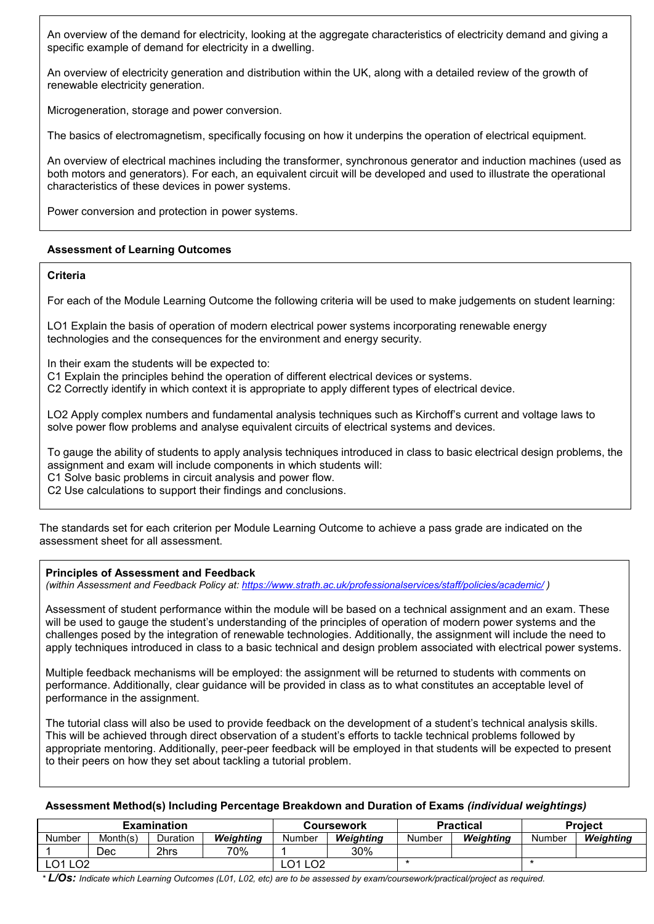An overview of the demand for electricity, looking at the aggregate characteristics of electricity demand and giving a specific example of demand for electricity in a dwelling.

An overview of electricity generation and distribution within the UK, along with a detailed review of the growth of renewable electricity generation.

Microgeneration, storage and power conversion.

The basics of electromagnetism, specifically focusing on how it underpins the operation of electrical equipment.

An overview of electrical machines including the transformer, synchronous generator and induction machines (used as both motors and generators). For each, an equivalent circuit will be developed and used to illustrate the operational characteristics of these devices in power systems.

Power conversion and protection in power systems.

# **Assessment of Learning Outcomes**

# **Criteria**

For each of the Module Learning Outcome the following criteria will be used to make judgements on student learning:

LO1 Explain the basis of operation of modern electrical power systems incorporating renewable energy technologies and the consequences for the environment and energy security.

In their exam the students will be expected to:

C1 Explain the principles behind the operation of different electrical devices or systems.

C2 Correctly identify in which context it is appropriate to apply different types of electrical device.

LO2 Apply complex numbers and fundamental analysis techniques such as Kirchoff's current and voltage laws to solve power flow problems and analyse equivalent circuits of electrical systems and devices.

To gauge the ability of students to apply analysis techniques introduced in class to basic electrical design problems, the assignment and exam will include components in which students will:

C1 Solve basic problems in circuit analysis and power flow.

C2 Use calculations to support their findings and conclusions.

The standards set for each criterion per Module Learning Outcome to achieve a pass grade are indicated on the assessment sheet for all assessment.

# **Principles of Assessment and Feedback**

*(within Assessment and Feedback Policy at: <https://www.strath.ac.uk/professionalservices/staff/policies/academic/> )*

Assessment of student performance within the module will be based on a technical assignment and an exam. These will be used to gauge the student's understanding of the principles of operation of modern power systems and the challenges posed by the integration of renewable technologies. Additionally, the assignment will include the need to apply techniques introduced in class to a basic technical and design problem associated with electrical power systems.

Multiple feedback mechanisms will be employed: the assignment will be returned to students with comments on performance. Additionally, clear guidance will be provided in class as to what constitutes an acceptable level of performance in the assignment.

The tutorial class will also be used to provide feedback on the development of a student's technical analysis skills. This will be achieved through direct observation of a student's efforts to tackle technical problems followed by appropriate mentoring. Additionally, peer-peer feedback will be employed in that students will be expected to present to their peers on how they set about tackling a tutorial problem.

## **Assessment Method(s) Including Percentage Breakdown and Duration of Exams** *(individual weightings)*

|                        |          | <b>Examination</b> |           |                                  | Coursework |        | <b>Practical</b> | <b>Project</b> |           |  |
|------------------------|----------|--------------------|-----------|----------------------------------|------------|--------|------------------|----------------|-----------|--|
| <b>Number</b>          | Month(s) | Duration           | Weiahtina | Number                           | Weiahtina  | Number | Weiahtina        | Number         | Weiahtina |  |
|                        | Dec      | 2hrs               | 70%       |                                  | 30%        |        |                  |                |           |  |
| LO <sub>2</sub><br>LO1 |          |                    |           | LO <sub>2</sub><br>$\mathcal{L}$ |            |        |                  |                |           |  |

*\* L/Os: Indicate which Learning Outcomes (L01, L02, etc) are to be assessed by exam/coursework/practical/project as required.*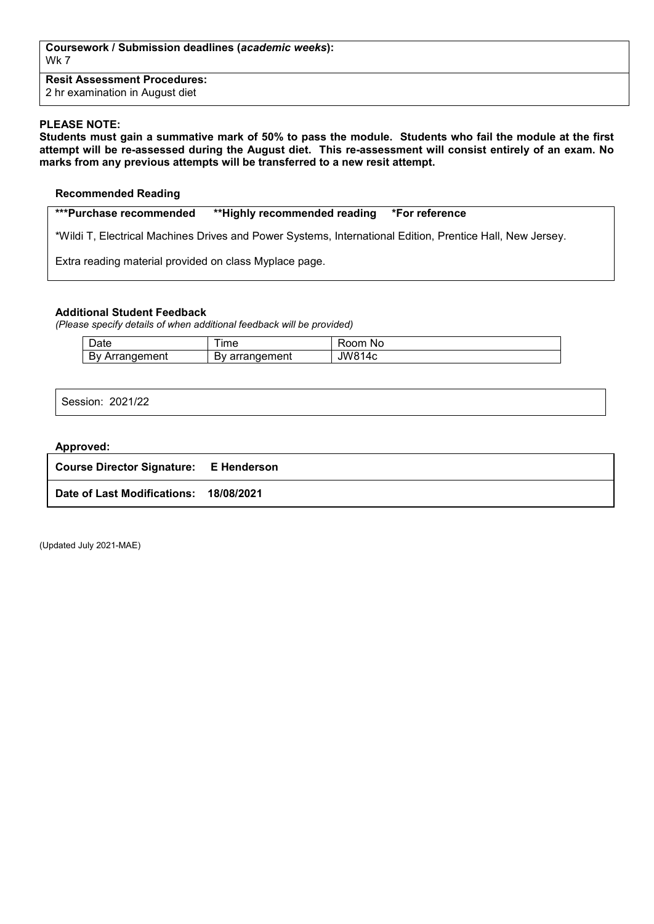**Coursework / Submission deadlines (***academic weeks***):** Wk 7

**Resit Assessment Procedures:** 2 hr examination in August diet

## **PLEASE NOTE:**

**Students must gain a summative mark of 50% to pass the module. Students who fail the module at the first attempt will be re-assessed during the August diet. This re-assessment will consist entirely of an exam. No marks from any previous attempts will be transferred to a new resit attempt.**

## **Recommended Reading**

**\*\*\*Purchase recommended \*\*Highly recommended reading \*For reference** 

\*Wildi T, Electrical Machines Drives and Power Systems, International Edition, Prentice Hall, New Jersey.

Extra reading material provided on class Myplace page.

# **Additional Student Feedback**

*(Please specify details of when additional feedback will be provided)*

| $\overline{\phantom{0}}$<br>Jate              | ıme                                           | om<br><b>NC</b><br>ĸ     |
|-----------------------------------------------|-----------------------------------------------|--------------------------|
| . .<br>าement<br>$\sim$<br>Dν<br>$\mathbf{a}$ | $\sim$ $\sim$ 1<br>$\sim$<br>≃ment<br>aı<br>ີ | JW8 <sup>4</sup><br>. Ar |

Session: 2021/22

#### **Approved:**

| <b>Course Director Signature: E Henderson</b> |  |
|-----------------------------------------------|--|
| Date of Last Modifications: 18/08/2021        |  |

(Updated July 2021-MAE)